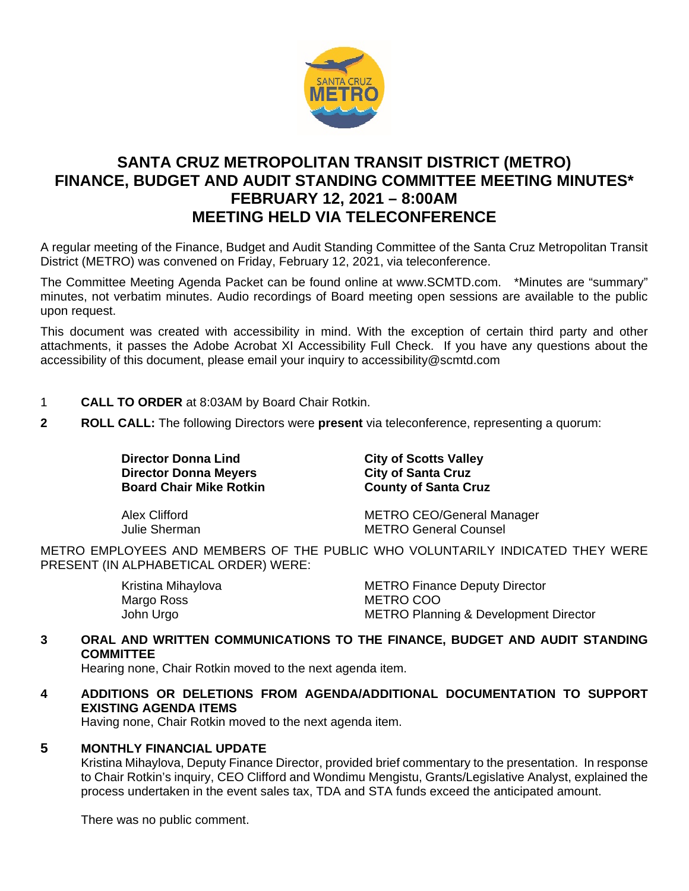

# **SANTA CRUZ METROPOLITAN TRANSIT DISTRICT (METRO) FINANCE, BUDGET AND AUDIT STANDING COMMITTEE MEETING MINUTES\* FEBRUARY 12, 2021 – 8:00AM MEETING HELD VIA TELECONFERENCE**

A regular meeting of the Finance, Budget and Audit Standing Committee of the Santa Cruz Metropolitan Transit District (METRO) was convened on Friday, February 12, 2021, via teleconference.

The Committee Meeting Agenda Packet can be found online at www.SCMTD.com. \*Minutes are "summary" minutes, not verbatim minutes. Audio recordings of Board meeting open sessions are available to the public upon request.

This document was created with accessibility in mind. With the exception of certain third party and other attachments, it passes the Adobe Acrobat XI Accessibility Full Check. If you have any questions about the accessibility of this document, please email your inquiry to accessibility@scmtd.com

- 1 **CALL TO ORDER** at 8:03AM by Board Chair Rotkin.
- **2 ROLL CALL:** The following Directors were **present** via teleconference, representing a quorum:

**Director Donna Lind City of Scotts Valley<br>
Director Donna Mevers<br>
City of Santa Cruz<br>
City of Santa Cruz Director Donna Meyers City of Santa Cruz Board Chair Mike Rotkin**<br> **County of Santa Cruz County Conta Cruz Board Chair Mike Rotkin** 

Alex Clifford METRO CEO/General Manager Julie Sherman METRO General Counsel

METRO EMPLOYEES AND MEMBERS OF THE PUBLIC WHO VOLUNTARILY INDICATED THEY WERE PRESENT (IN ALPHABETICAL ORDER) WERE:

| Kristina Mihaylova | <b>METRO Finance Deputy Director</b>             |
|--------------------|--------------------------------------------------|
| Margo Ross         | METRO COO                                        |
| John Urgo          | <b>METRO Planning &amp; Development Director</b> |

# **3 ORAL AND WRITTEN COMMUNICATIONS TO THE FINANCE, BUDGET AND AUDIT STANDING COMMITTEE**

Hearing none, Chair Rotkin moved to the next agenda item.

**4 ADDITIONS OR DELETIONS FROM AGENDA/ADDITIONAL DOCUMENTATION TO SUPPORT EXISTING AGENDA ITEMS** 

Having none, Chair Rotkin moved to the next agenda item.

### **5 MONTHLY FINANCIAL UPDATE**

Kristina Mihaylova, Deputy Finance Director, provided brief commentary to the presentation. In response to Chair Rotkin's inquiry, CEO Clifford and Wondimu Mengistu, Grants/Legislative Analyst, explained the process undertaken in the event sales tax, TDA and STA funds exceed the anticipated amount.

There was no public comment.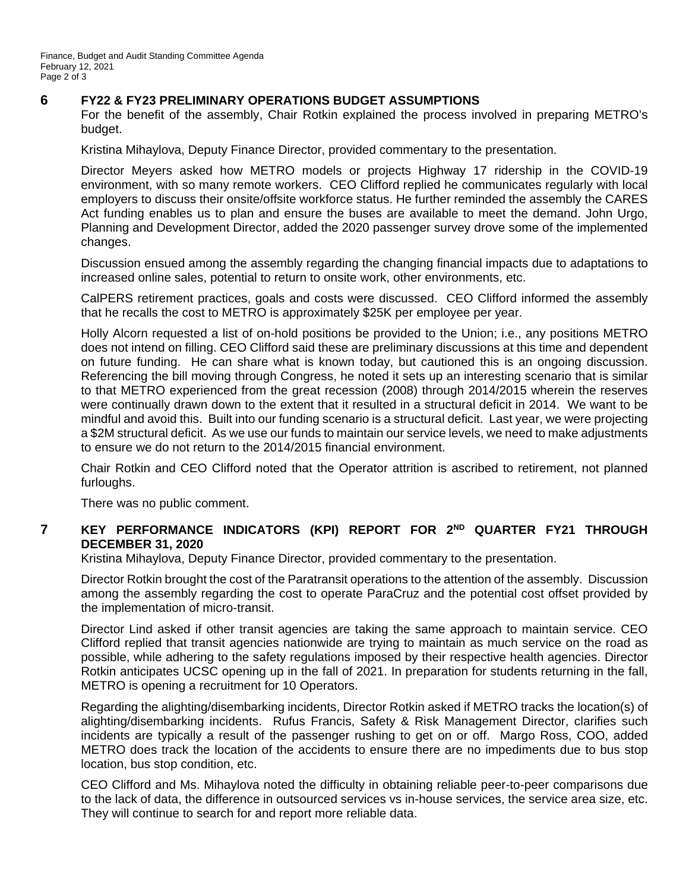# **6 FY22 & FY23 PRELIMINARY OPERATIONS BUDGET ASSUMPTIONS**

For the benefit of the assembly, Chair Rotkin explained the process involved in preparing METRO's budget.

Kristina Mihaylova, Deputy Finance Director, provided commentary to the presentation.

Director Meyers asked how METRO models or projects Highway 17 ridership in the COVID-19 environment, with so many remote workers. CEO Clifford replied he communicates regularly with local employers to discuss their onsite/offsite workforce status. He further reminded the assembly the CARES Act funding enables us to plan and ensure the buses are available to meet the demand. John Urgo, Planning and Development Director, added the 2020 passenger survey drove some of the implemented changes.

Discussion ensued among the assembly regarding the changing financial impacts due to adaptations to increased online sales, potential to return to onsite work, other environments, etc.

CalPERS retirement practices, goals and costs were discussed. CEO Clifford informed the assembly that he recalls the cost to METRO is approximately \$25K per employee per year.

Holly Alcorn requested a list of on-hold positions be provided to the Union; i.e., any positions METRO does not intend on filling. CEO Clifford said these are preliminary discussions at this time and dependent on future funding. He can share what is known today, but cautioned this is an ongoing discussion. Referencing the bill moving through Congress, he noted it sets up an interesting scenario that is similar to that METRO experienced from the great recession (2008) through 2014/2015 wherein the reserves were continually drawn down to the extent that it resulted in a structural deficit in 2014. We want to be mindful and avoid this. Built into our funding scenario is a structural deficit. Last year, we were projecting a \$2M structural deficit. As we use our funds to maintain our service levels, we need to make adjustments to ensure we do not return to the 2014/2015 financial environment.

Chair Rotkin and CEO Clifford noted that the Operator attrition is ascribed to retirement, not planned furloughs.

There was no public comment.

# **7 KEY PERFORMANCE INDICATORS (KPI) REPORT FOR 2ND QUARTER FY21 THROUGH DECEMBER 31, 2020**

Kristina Mihaylova, Deputy Finance Director, provided commentary to the presentation.

Director Rotkin brought the cost of the Paratransit operations to the attention of the assembly. Discussion among the assembly regarding the cost to operate ParaCruz and the potential cost offset provided by the implementation of micro-transit.

Director Lind asked if other transit agencies are taking the same approach to maintain service. CEO Clifford replied that transit agencies nationwide are trying to maintain as much service on the road as possible, while adhering to the safety regulations imposed by their respective health agencies. Director Rotkin anticipates UCSC opening up in the fall of 2021. In preparation for students returning in the fall, METRO is opening a recruitment for 10 Operators.

Regarding the alighting/disembarking incidents, Director Rotkin asked if METRO tracks the location(s) of alighting/disembarking incidents. Rufus Francis, Safety & Risk Management Director, clarifies such incidents are typically a result of the passenger rushing to get on or off. Margo Ross, COO, added METRO does track the location of the accidents to ensure there are no impediments due to bus stop location, bus stop condition, etc.

CEO Clifford and Ms. Mihaylova noted the difficulty in obtaining reliable peer-to-peer comparisons due to the lack of data, the difference in outsourced services vs in-house services, the service area size, etc. They will continue to search for and report more reliable data.